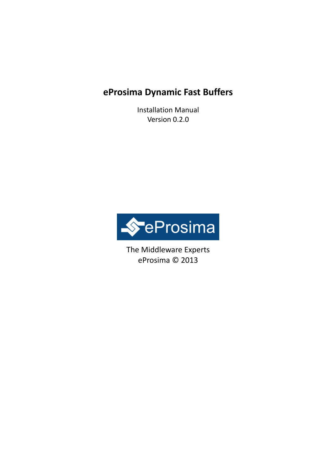# **eProsima Dynamic Fast Buffers**

Installation Manual Version 0.2.0



The Middleware Experts eProsima © 2013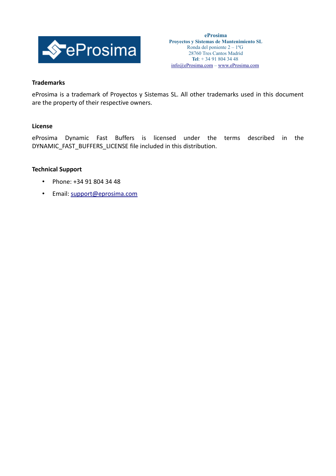

### **Trademarks**

eProsima is a trademark of Proyectos y Sistemas SL. All other trademarks used in this document are the property of their respective owners.

### **License**

eProsima Dynamic Fast Buffers is licensed under the terms described in the DYNAMIC\_FAST\_BUFFERS\_LICENSE file included in this distribution.

#### **Technical Support**

- Phone: +34 91 804 34 48
- Email: [support@eprosima.com](mailto:support@eprosima.com)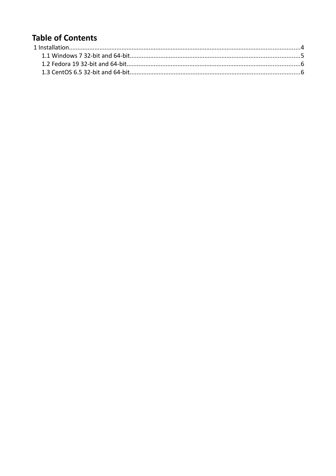# **Table of Contents**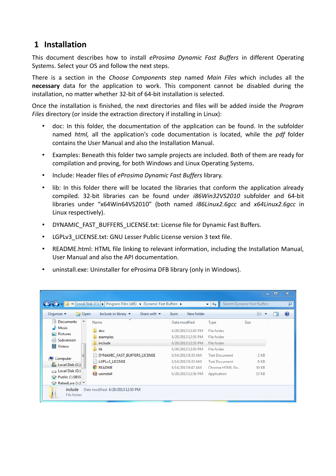## <span id="page-3-0"></span> **1 Installation**

This document describes how to install *eProsima Dynamic Fast Buffers* in different Operating Systems. Select your OS and follow the next steps.

There is a section in the *Choose Components* step named *Main Files* which includes all the **necessary** data for the application to work. This component cannot be disabled during the installation, no matter whether 32-bit of 64-bit installation is selected.

Once the installation is finished, the next directories and files will be added inside the *Program Files* directory (or inside the extraction directory if installing in Linux):

- doc: In this folder, the documentation of the application can be found. In the subfolder named *html,* all the application's code documentation is located, while the *pdf* folder contains the User Manual and also the Installation Manual.
- Examples: Beneath this folder two sample projects are included. Both of them are ready for compilation and proving, for both Windows and Linux Operating Systems.
- Include: Header files of *eProsima Dynamic Fast Buffers* library.
- lib: In this folder there will be located the libraries that conform the application already compiled. 32-bit libraries can be found under *i86Win32VS2010* subfolder and 64-bit libraries under "x64Win64VS2010" (both named *i86Linux2.6gcc* and *x64Linux2.6gcc* in Linux respectively).
- DYNAMIC\_FAST\_BUFFERS\_LICENSE.txt: License file for Dynamic Fast Buffers.
- LGPLv3 LICENSE.txt: GNU Lesser Public License version 3 text file.
- README.html: HTML file linking to relevant information, including the Installation Manual, User Manual and also the API documentation.
- uninstall.exe: Uninstaller for eProsima DFB library (only in Windows).

| Organize v<br>Open                              | Include in library<br>Share with $\blacktriangledown$ | New folder<br><b>Burn</b> |                      | 胆      |  |
|-------------------------------------------------|-------------------------------------------------------|---------------------------|----------------------|--------|--|
| E<br><b>Documents</b>                           | ∼<br>Name                                             | Date modified             | Type                 | Size   |  |
| Music<br>Pictures<br>6ì<br>Subversion<br>Videos | doc                                                   | 6/20/2013 12:55 PM        | File folder          |        |  |
|                                                 | examples                                              | 6/20/2013 12:55 PM        | File folder          |        |  |
|                                                 | include                                               | 6/20/2013 12:55 PM        | File folder          |        |  |
|                                                 | lib                                                   | 6/20/2013 12:55 PM        | File folder          |        |  |
| Ξ                                               | DYNAMIC FAST BUFFERS LICENSE                          | 6/14/2013 9:35 AM         | <b>Text Document</b> | $2$ KB |  |
| Computer                                        | LGPLv3 LICENSE                                        | 6/14/2013 9:33 AM         | <b>Text Document</b> | 8 KB   |  |
| Local Disk (C:)                                 | <b>C</b> README                                       | 6/14/2013 8:47 AM         | Chrome HTML Do       | 30 KB  |  |
| Local Disk (D:)                                 | uninstall                                             | 6/20/2013 12:56 PM        | Application          | 53 KB  |  |
| Public (\\SBSS<br>RafaelLara (\\S \v            |                                                       |                           |                      |        |  |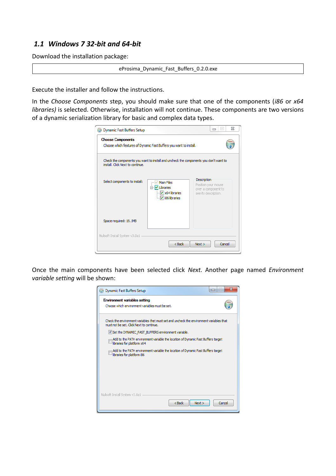## <span id="page-4-0"></span> *1.1 Windows 7 32-bit and 64-bit*

Download the installation package:

eProsima\_Dynamic\_Fast\_Buffers\_0.2.0.exe

Execute the installer and follow the instructions.

In the *Choose Components* step, you should make sure that one of the components (*i86* or *x64 libraries)* is selected. Otherwise, installation will not continue. These components are two versions of a dynamic serialization library for basic and complex data types.

| <b>Choose Components</b>         | Choose which features of Dynamic Fast Buffers you want to install.                                   |                                                                                   |
|----------------------------------|------------------------------------------------------------------------------------------------------|-----------------------------------------------------------------------------------|
| install. Click Next to continue. | Check the components you want to install and uncheck the components you don't want to                |                                                                                   |
| Select components to install:    | <b>Main Files</b><br><b>E</b> √ Libraries<br>$\sqrt{\times 64}$ libraries<br><b>My</b> i86 libraries | Description<br>Position your mouse<br>over a component to<br>see its description. |
| Space required: 19.1MB           |                                                                                                      |                                                                                   |
| Nullsoft Install System v3.0a1   |                                                                                                      |                                                                                   |

Once the main components have been selected click *Next.* Another page named *Environment variable setting* will be shown:

| <b>Dynamic Fast Buffers Setup</b>                                                                                                    | $\mathbf{x}$<br>$-1$<br>$\Box$ |  |  |  |
|--------------------------------------------------------------------------------------------------------------------------------------|--------------------------------|--|--|--|
| <b>Environment variables setting</b>                                                                                                 |                                |  |  |  |
| Choose which environment variables must be set.                                                                                      |                                |  |  |  |
| Check the environment variables thet must set and uncheck the environment variables that<br>must not be set. Click Next to continue. |                                |  |  |  |
| V Set the DYNAMIC FAST BUFFERS environment variable.                                                                                 |                                |  |  |  |
| Add to the PATH environment variable the location of Dynamic Fast Buffers target<br>libraries for platform x64                       |                                |  |  |  |
| Add to the PATH environment variable the location of Dynamic Fast Buffers target<br>libraries for platform i86                       |                                |  |  |  |
|                                                                                                                                      |                                |  |  |  |
|                                                                                                                                      |                                |  |  |  |
|                                                                                                                                      |                                |  |  |  |
|                                                                                                                                      |                                |  |  |  |
|                                                                                                                                      |                                |  |  |  |
| Nullsoft Install System v3.0a1<br>$<$ Back<br>Next                                                                                   | Cancel                         |  |  |  |
|                                                                                                                                      |                                |  |  |  |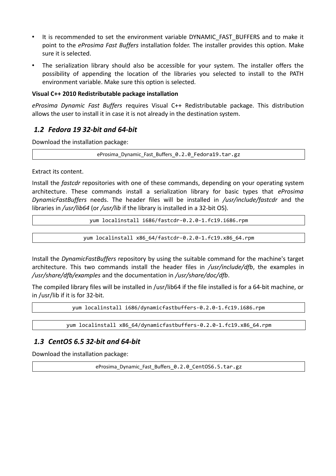- It is recommended to set the environment variable DYNAMIC\_FAST\_BUFFERS and to make it point to the *eProsima Fast Buffers* installation folder. The installer provides this option. Make sure it is selected.
- The serialization library should also be accessible for your system. The installer offers the possibility of appending the location of the libraries you selected to install to the PATH environment variable. Make sure this option is selected.

### **Visual C++ 2010 Redistributable package installation**

*eProsima Dynamic Fast Buffers* requires Visual C++ Redistributable package. This distribution allows the user to install it in case it is not already in the destination system.

## <span id="page-5-1"></span> *1.2 Fedora 19 32-bit and 64-bit*

Download the installation package:

eProsima\_Dynamic\_Fast\_Buffers\_0.2.0\_Fedora19.tar.gz

Extract its content.

Install the *fastcdr* repositories with one of these commands, depending on your operating system architecture. These commands install a serialization library for basic types that *eProsima DynamicFastBuffers* needs. The header files will be installed in */usr/include/fastcdr* and the libraries in */usr/lib64* (or */usr/lib* if the library is installed in a 32-bit OS).

yum localinstall i686/fastcdr-0.2.0-1.fc19.i686.rpm

yum localinstall x86\_64/fastcdr-0.2.0-1.fc19.x86\_64.rpm

Install the *DynamicFastBuffers* repository by using the suitable command for the machine's target architecture. This two commands install the header files in */usr/include/dfb*, the examples in */usr/share/dfb/examples* and the documentation in */usr/share/doc/dfb*.

The compiled library files will be installed in /usr/lib64 if the file installed is for a 64-bit machine, or in /usr/lib if it is for 32-bit.

yum localinstall i686/dynamicfastbuffers-0.2.0-1.fc19.i686.rpm

yum localinstall x86 64/dynamicfastbuffers-0.2.0-1.fc19.x86 64.rpm

## <span id="page-5-0"></span> *1.3 CentOS 6.5 32-bit and 64-bit*

Download the installation package:

eProsima Dynamic Fast Buffers 0.2.0 CentOS6.5.tar.gz